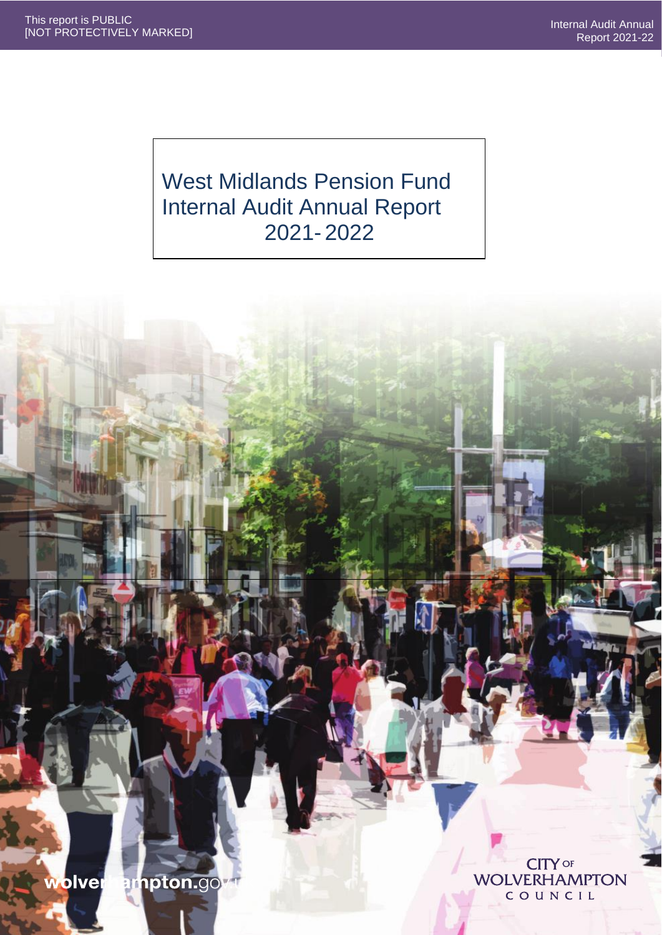# West Midlands Pension Fund Internal Audit Annual Report 2021- 2022

wolver ampton.gov

**CITY OF WOLVERHAMPTON**  $C$ OUNCIL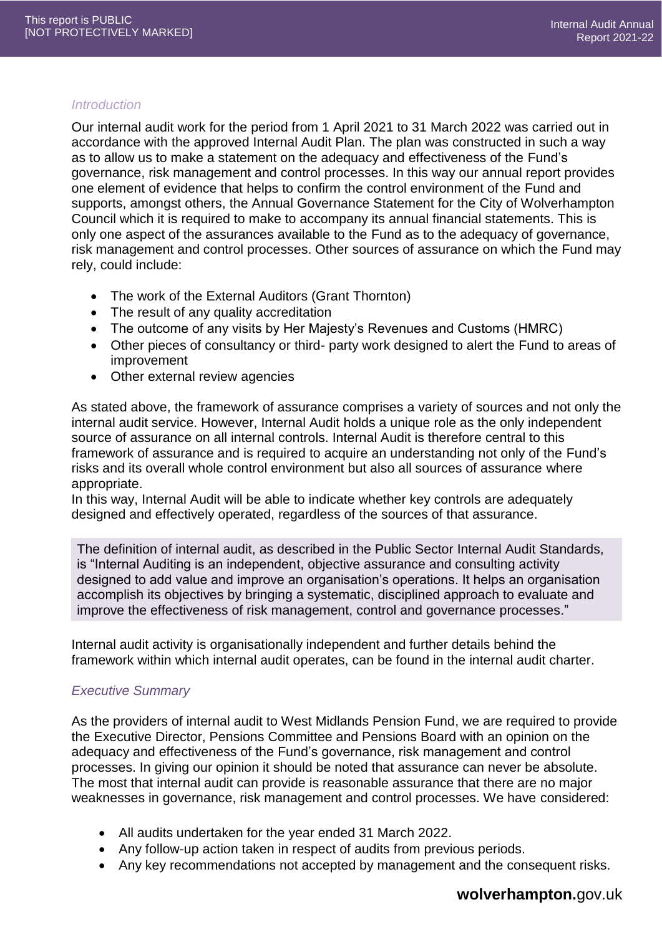#### *Introduction*

Our internal audit work for the period from 1 April 2021 to 31 March 2022 was carried out in accordance with the approved Internal Audit Plan. The plan was constructed in such a way as to allow us to make a statement on the adequacy and effectiveness of the Fund's governance, risk management and control processes. In this way our annual report provides one element of evidence that helps to confirm the control environment of the Fund and supports, amongst others, the Annual Governance Statement for the City of Wolverhampton Council which it is required to make to accompany its annual financial statements. This is only one aspect of the assurances available to the Fund as to the adequacy of governance, risk management and control processes. Other sources of assurance on which the Fund may rely, could include:

- The work of the External Auditors (Grant Thornton)
- The result of any quality accreditation
- The outcome of any visits by Her Majesty's Revenues and Customs (HMRC)
- Other pieces of consultancy or third- party work designed to alert the Fund to areas of improvement
- Other external review agencies

As stated above, the framework of assurance comprises a variety of sources and not only the internal audit service. However, Internal Audit holds a unique role as the only independent source of assurance on all internal controls. Internal Audit is therefore central to this framework of assurance and is required to acquire an understanding not only of the Fund's risks and its overall whole control environment but also all sources of assurance where appropriate.

In this way, Internal Audit will be able to indicate whether key controls are adequately designed and effectively operated, regardless of the sources of that assurance.

The definition of internal audit, as described in the Public Sector Internal Audit Standards, is "Internal Auditing is an independent, objective assurance and consulting activity designed to add value and improve an organisation's operations. It helps an organisation accomplish its objectives by bringing a systematic, disciplined approach to evaluate and improve the effectiveness of risk management, control and governance processes."

Internal audit activity is organisationally independent and further details behind the framework within which internal audit operates, can be found in the internal audit charter.

## *Executive Summary*

As the providers of internal audit to West Midlands Pension Fund, we are required to provide the Executive Director, Pensions Committee and Pensions Board with an opinion on the adequacy and effectiveness of the Fund's governance, risk management and control processes. In giving our opinion it should be noted that assurance can never be absolute. The most that internal audit can provide is reasonable assurance that there are no major weaknesses in governance, risk management and control processes. We have considered:

- All audits undertaken for the year ended 31 March 2022.
- Any follow-up action taken in respect of audits from previous periods.
- Any key recommendations not accepted by management and the consequent risks.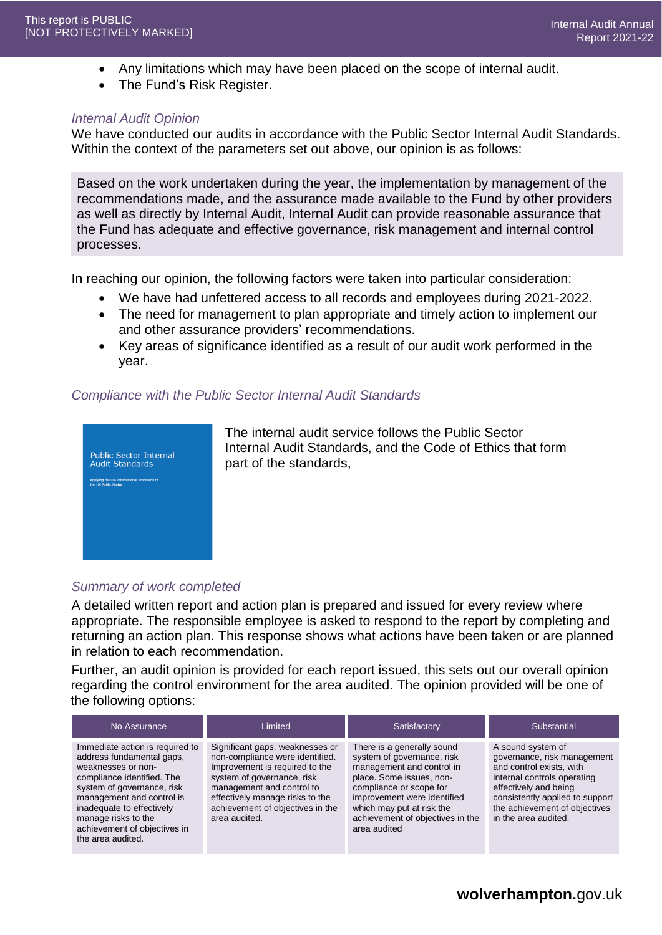- Any limitations which may have been placed on the scope of internal audit.
- The Fund's Risk Register.

#### *Internal Audit Opinion*

We have conducted our audits in accordance with the Public Sector Internal Audit Standards. Within the context of the parameters set out above, our opinion is as follows:

Based on the work undertaken during the year, the implementation by management of the recommendations made, and the assurance made available to the Fund by other providers as well as directly by Internal Audit, Internal Audit can provide reasonable assurance that the Fund has adequate and effective governance, risk management and internal control processes.

In reaching our opinion, the following factors were taken into particular consideration:

- We have had unfettered access to all records and employees during 2021-2022.
- The need for management to plan appropriate and timely action to implement our and other assurance providers' recommendations.
- Key areas of significance identified as a result of our audit work performed in the year.

#### *Compliance with the Public Sector Internal Audit Standards*



The internal audit service follows the Public Sector Internal Audit Standards, and the Code of Ethics that form part of the standards,

## *Summary of work completed*

A detailed written report and action plan is prepared and issued for every review where appropriate. The responsible employee is asked to respond to the report by completing and returning an action plan. This response shows what actions have been taken or are planned in relation to each recommendation.

Further, an audit opinion is provided for each report issued, this sets out our overall opinion regarding the control environment for the area audited. The opinion provided will be one of the following options:

| No Assurance                                                                                                                                                                                                                                                                         | Limited                                                                                                                                                                                                                                                 | Satisfactory                                                                                                                                                                                                                                                 | Substantial                                                                                                                                                                                                                      |  |
|--------------------------------------------------------------------------------------------------------------------------------------------------------------------------------------------------------------------------------------------------------------------------------------|---------------------------------------------------------------------------------------------------------------------------------------------------------------------------------------------------------------------------------------------------------|--------------------------------------------------------------------------------------------------------------------------------------------------------------------------------------------------------------------------------------------------------------|----------------------------------------------------------------------------------------------------------------------------------------------------------------------------------------------------------------------------------|--|
| Immediate action is required to<br>address fundamental gaps,<br>weaknesses or non-<br>compliance identified. The<br>system of governance, risk<br>management and control is<br>inadequate to effectively<br>manage risks to the<br>achievement of objectives in<br>the area audited. | Significant gaps, weaknesses or<br>non-compliance were identified.<br>Improvement is required to the<br>system of governance, risk<br>management and control to<br>effectively manage risks to the<br>achievement of objectives in the<br>area audited. | There is a generally sound<br>system of governance, risk<br>management and control in<br>place. Some issues, non-<br>compliance or scope for<br>improvement were identified<br>which may put at risk the<br>achievement of objectives in the<br>area audited | A sound system of<br>governance, risk management<br>and control exists, with<br>internal controls operating<br>effectively and being<br>consistently applied to support<br>the achievement of objectives<br>in the area audited. |  |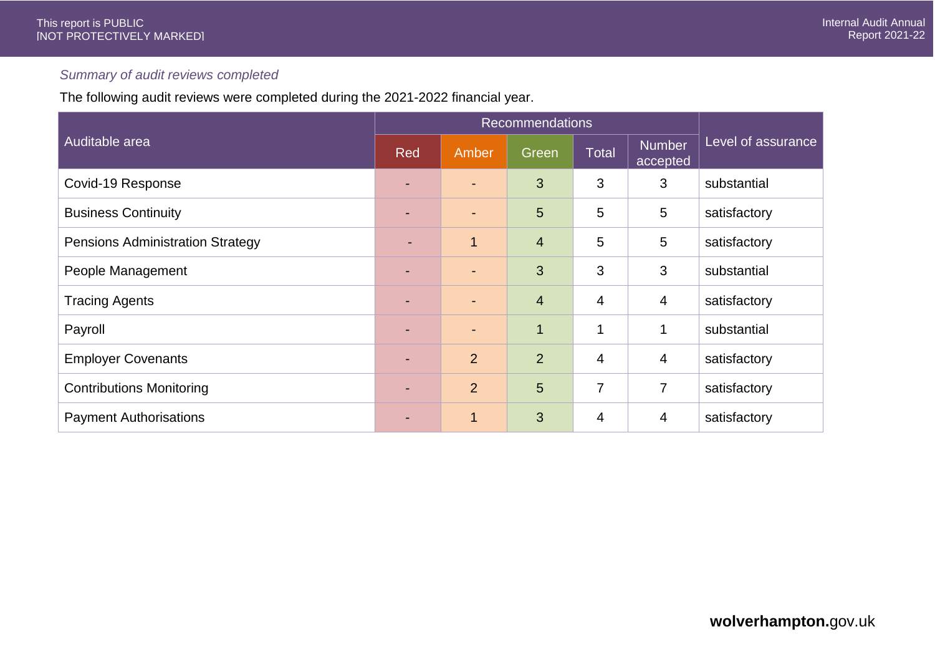# *Summary of audit reviews completed*

The following audit reviews were completed during the 2021-2022 financial year.

|                                         | <b>Recommendations</b> |                          |                |                |                           |                    |
|-----------------------------------------|------------------------|--------------------------|----------------|----------------|---------------------------|--------------------|
| Auditable area                          | Red                    | Amber                    | Green          | <b>Total</b>   | <b>Number</b><br>accepted | Level of assurance |
| Covid-19 Response                       | ۰.                     | $\overline{\phantom{0}}$ | 3              | 3              | 3                         | substantial        |
| <b>Business Continuity</b>              | ۰.                     | $\sim$                   | 5              | 5              | 5                         | satisfactory       |
| <b>Pensions Administration Strategy</b> | ٠                      | $\overline{1}$           | $\overline{4}$ | 5              | 5                         | satisfactory       |
| People Management                       | ٠                      | $\sim$                   | 3              | 3              | 3                         | substantial        |
| <b>Tracing Agents</b>                   |                        | $\blacksquare$           | $\overline{4}$ | $\overline{4}$ | $\overline{4}$            | satisfactory       |
| Payroll                                 |                        | ٠                        | 1              | 1              |                           | substantial        |
| <b>Employer Covenants</b>               |                        | $\overline{2}$           | $\overline{2}$ | $\overline{4}$ | $\overline{4}$            | satisfactory       |
| <b>Contributions Monitoring</b>         | ۰.                     | $\overline{2}$           | 5              | $\overline{7}$ | 7                         | satisfactory       |
| <b>Payment Authorisations</b>           |                        | $\mathbf{1}$             | 3              | 4              | 4                         | satisfactory       |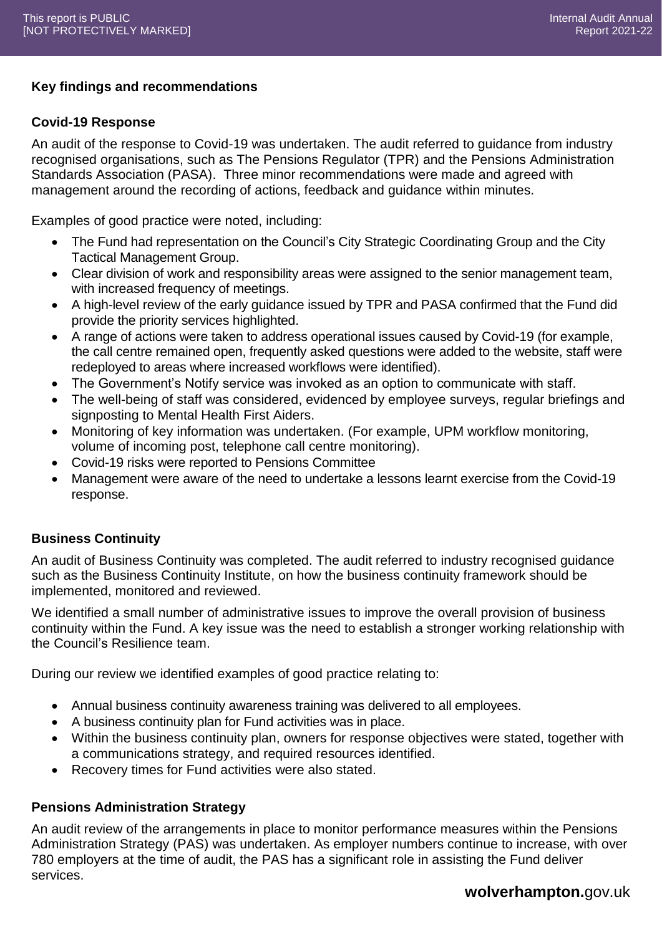# **Key findings and recommendations**

#### **Covid-19 Response**

An audit of the response to Covid-19 was undertaken. The audit referred to guidance from industry recognised organisations, such as The Pensions Regulator (TPR) and the Pensions Administration Standards Association (PASA). Three minor recommendations were made and agreed with management around the recording of actions, feedback and guidance within minutes.

Examples of good practice were noted, including:

- The Fund had representation on the Council's City Strategic Coordinating Group and the City Tactical Management Group.
- Clear division of work and responsibility areas were assigned to the senior management team, with increased frequency of meetings.
- A high-level review of the early guidance issued by TPR and PASA confirmed that the Fund did provide the priority services highlighted.
- A range of actions were taken to address operational issues caused by Covid-19 (for example, the call centre remained open, frequently asked questions were added to the website, staff were redeployed to areas where increased workflows were identified).
- The Government's Notify service was invoked as an option to communicate with staff.
- The well-being of staff was considered, evidenced by employee surveys, regular briefings and signposting to Mental Health First Aiders.
- Monitoring of key information was undertaken. (For example, UPM workflow monitoring, volume of incoming post, telephone call centre monitoring).
- Covid-19 risks were reported to Pensions Committee
- Management were aware of the need to undertake a lessons learnt exercise from the Covid-19 response.

#### **Business Continuity**

An audit of Business Continuity was completed. The audit referred to industry recognised guidance such as the Business Continuity Institute, on how the business continuity framework should be implemented, monitored and reviewed.

We identified a small number of administrative issues to improve the overall provision of business continuity within the Fund. A key issue was the need to establish a stronger working relationship with the Council's Resilience team.

During our review we identified examples of good practice relating to:

- Annual business continuity awareness training was delivered to all employees.
- A business continuity plan for Fund activities was in place.
- Within the business continuity plan, owners for response objectives were stated, together with a communications strategy, and required resources identified.
- Recovery times for Fund activities were also stated.

## **Pensions Administration Strategy**

An audit review of the arrangements in place to monitor performance measures within the Pensions Administration Strategy (PAS) was undertaken. As employer numbers continue to increase, with over 780 employers at the time of audit, the PAS has a significant role in assisting the Fund deliver services.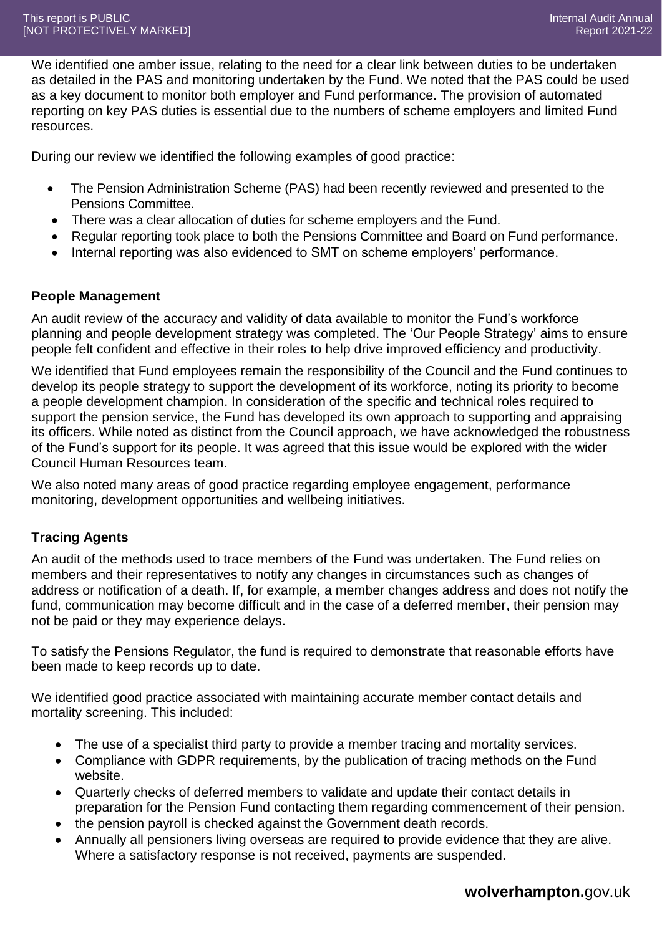We identified one amber issue, relating to the need for a clear link between duties to be undertaken as detailed in the PAS and monitoring undertaken by the Fund. We noted that the PAS could be used as a key document to monitor both employer and Fund performance. The provision of automated reporting on key PAS duties is essential due to the numbers of scheme employers and limited Fund resources.

During our review we identified the following examples of good practice:

- The Pension Administration Scheme (PAS) had been recently reviewed and presented to the Pensions Committee.
- There was a clear allocation of duties for scheme employers and the Fund.
- Regular reporting took place to both the Pensions Committee and Board on Fund performance.
- Internal reporting was also evidenced to SMT on scheme employers' performance.

# **People Management**

An audit review of the accuracy and validity of data available to monitor the Fund's workforce planning and people development strategy was completed. The 'Our People Strategy' aims to ensure people felt confident and effective in their roles to help drive improved efficiency and productivity.

We identified that Fund employees remain the responsibility of the Council and the Fund continues to develop its people strategy to support the development of its workforce, noting its priority to become a people development champion. In consideration of the specific and technical roles required to support the pension service, the Fund has developed its own approach to supporting and appraising its officers. While noted as distinct from the Council approach, we have acknowledged the robustness of the Fund's support for its people. It was agreed that this issue would be explored with the wider Council Human Resources team.

We also noted many areas of good practice regarding employee engagement, performance monitoring, development opportunities and wellbeing initiatives.

# **Tracing Agents**

An audit of the methods used to trace members of the Fund was undertaken. The Fund relies on members and their representatives to notify any changes in circumstances such as changes of address or notification of a death. If, for example, a member changes address and does not notify the fund, communication may become difficult and in the case of a deferred member, their pension may not be paid or they may experience delays.

To satisfy the Pensions Regulator, the fund is required to demonstrate that reasonable efforts have been made to keep records up to date.

We identified good practice associated with maintaining accurate member contact details and mortality screening. This included:

- The use of a specialist third party to provide a member tracing and mortality services.
- Compliance with GDPR requirements, by the publication of tracing methods on the Fund website.
- Quarterly checks of deferred members to validate and update their contact details in preparation for the Pension Fund contacting them regarding commencement of their pension.
- the pension payroll is checked against the Government death records.
- Annually all pensioners living overseas are required to provide evidence that they are alive. Where a satisfactory response is not received, payments are suspended.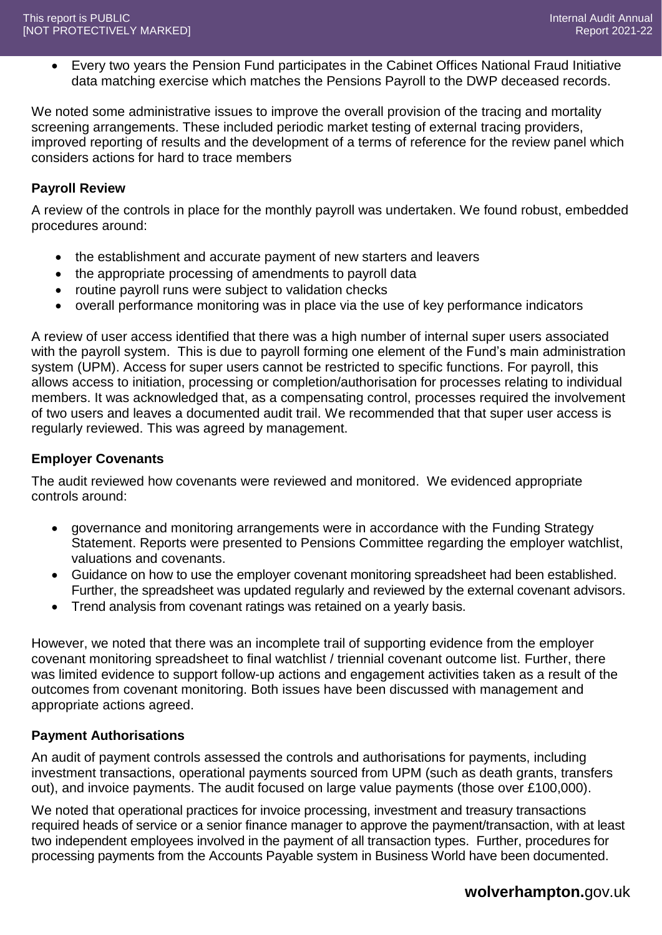Every two years the Pension Fund participates in the Cabinet Offices National Fraud Initiative data matching exercise which matches the Pensions Payroll to the DWP deceased records.

We noted some administrative issues to improve the overall provision of the tracing and mortality screening arrangements. These included periodic market testing of external tracing providers, improved reporting of results and the development of a terms of reference for the review panel which considers actions for hard to trace members

# **Payroll Review**

A review of the controls in place for the monthly payroll was undertaken. We found robust, embedded procedures around:

- the establishment and accurate payment of new starters and leavers
- the appropriate processing of amendments to payroll data
- routine payroll runs were subject to validation checks
- overall performance monitoring was in place via the use of key performance indicators

A review of user access identified that there was a high number of internal super users associated with the payroll system. This is due to payroll forming one element of the Fund's main administration system (UPM). Access for super users cannot be restricted to specific functions. For payroll, this allows access to initiation, processing or completion/authorisation for processes relating to individual members. It was acknowledged that, as a compensating control, processes required the involvement of two users and leaves a documented audit trail. We recommended that that super user access is regularly reviewed. This was agreed by management.

# **Employer Covenants**

The audit reviewed how covenants were reviewed and monitored. We evidenced appropriate controls around:

- governance and monitoring arrangements were in accordance with the Funding Strategy Statement. Reports were presented to Pensions Committee regarding the employer watchlist, valuations and covenants.
- Guidance on how to use the employer covenant monitoring spreadsheet had been established. Further, the spreadsheet was updated regularly and reviewed by the external covenant advisors.
- Trend analysis from covenant ratings was retained on a yearly basis.

However, we noted that there was an incomplete trail of supporting evidence from the employer covenant monitoring spreadsheet to final watchlist / triennial covenant outcome list. Further, there was limited evidence to support follow-up actions and engagement activities taken as a result of the outcomes from covenant monitoring. Both issues have been discussed with management and appropriate actions agreed.

## **Payment Authorisations**

An audit of payment controls assessed the controls and authorisations for payments, including investment transactions, operational payments sourced from UPM (such as death grants, transfers out), and invoice payments. The audit focused on large value payments (those over £100,000).

We noted that operational practices for invoice processing, investment and treasury transactions required heads of service or a senior finance manager to approve the payment/transaction, with at least two independent employees involved in the payment of all transaction types. Further, procedures for processing payments from the Accounts Payable system in Business World have been documented.